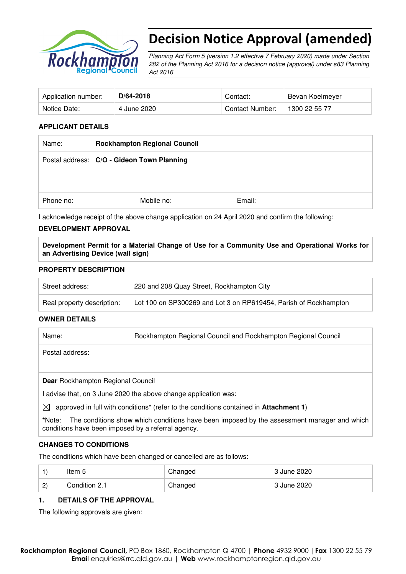

# Decision Notice Approval (amended)

Planning Act Form 5 (version 1.2 effective 7 February 2020) made under Section 282 of the Planning Act 2016 for a decision notice (approval) under s83 Planning Act 2016

| Application number: | $D/64 - 2018$ | Contact:               | Bevan Koelmeyer |
|---------------------|---------------|------------------------|-----------------|
| Notice Date:        | 4 June 2020   | <b>Contact Number:</b> | 1300 22 55 77   |

#### **APPLICANT DETAILS**

| Name:     | <b>Rockhampton Regional Council</b>        |        |
|-----------|--------------------------------------------|--------|
|           | Postal address: C/O - Gideon Town Planning |        |
|           |                                            |        |
| Phone no: | Mobile no:                                 | Email: |

I acknowledge receipt of the above change application on 24 April 2020 and confirm the following:

#### **DEVELOPMENT APPROVAL**

**Development Permit for a Material Change of Use for a Community Use and Operational Works for an Advertising Device (wall sign)** 

#### **PROPERTY DESCRIPTION**

| Street address:            | 220 and 208 Quay Street, Rockhampton City                        |
|----------------------------|------------------------------------------------------------------|
| Real property description: | Lot 100 on SP300269 and Lot 3 on RP619454, Parish of Rockhampton |

#### **OWNER DETAILS**

Name: Rockhampton Regional Council and Rockhampton Regional Council

Postal address:

**Dear** Rockhampton Regional Council

I advise that, on 3 June 2020 the above change application was:

 $\boxtimes$  approved in full with conditions<sup>\*</sup> (refer to the conditions contained in **Attachment 1**)

**\***Note:The conditions show which conditions have been imposed by the assessment manager and which conditions have been imposed by a referral agency.

#### **CHANGES TO CONDITIONS**

The conditions which have been changed or cancelled are as follows:

|              | ltem 5        | Changed | 3 June 2020 |
|--------------|---------------|---------|-------------|
| $\mathbf{2}$ | Condition 2.1 | Changed | 3 June 2020 |

#### **1. DETAILS OF THE APPROVAL**

The following approvals are given: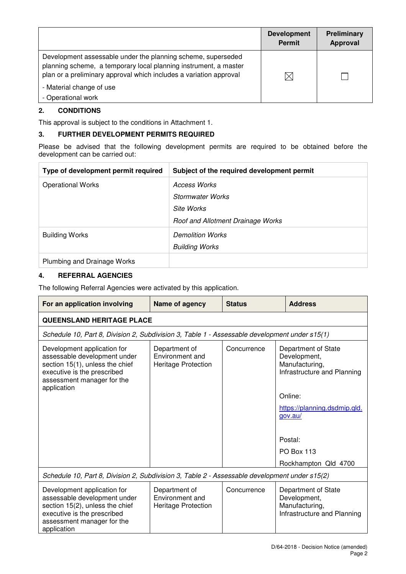|                                                                                                                                                                                                        | <b>Development</b><br><b>Permit</b> | <b>Preliminary</b><br><b>Approval</b> |
|--------------------------------------------------------------------------------------------------------------------------------------------------------------------------------------------------------|-------------------------------------|---------------------------------------|
| Development assessable under the planning scheme, superseded<br>planning scheme, a temporary local planning instrument, a master<br>plan or a preliminary approval which includes a variation approval | $\times$                            |                                       |
| - Material change of use<br>- Operational work                                                                                                                                                         |                                     |                                       |

## **2. CONDITIONS**

This approval is subject to the conditions in Attachment 1.

#### **3. FURTHER DEVELOPMENT PERMITS REQUIRED**

Please be advised that the following development permits are required to be obtained before the development can be carried out:

| Type of development permit required | Subject of the required development permit |
|-------------------------------------|--------------------------------------------|
| <b>Operational Works</b>            | <b>Access Works</b>                        |
|                                     | Stormwater Works                           |
|                                     | Site Works                                 |
|                                     | Roof and Allotment Drainage Works          |
| <b>Building Works</b>               | <b>Demolition Works</b>                    |
|                                     | <b>Building Works</b>                      |
| Plumbing and Drainage Works         |                                            |

#### **4. REFERRAL AGENCIES**

assessment manager for the

application

The following Referral Agencies were activated by this application.

| For an application involving                                                                                                                                               | Name of agency                                                 | <b>Status</b> | <b>Address</b>                                                                                                                                        |  |  |  |
|----------------------------------------------------------------------------------------------------------------------------------------------------------------------------|----------------------------------------------------------------|---------------|-------------------------------------------------------------------------------------------------------------------------------------------------------|--|--|--|
|                                                                                                                                                                            | <b>QUEENSLAND HERITAGE PLACE</b>                               |               |                                                                                                                                                       |  |  |  |
| Schedule 10, Part 8, Division 2, Subdivision 3, Table 1 - Assessable development under s15(1)                                                                              |                                                                |               |                                                                                                                                                       |  |  |  |
| Development application for<br>assessable development under<br>section 15(1), unless the chief<br>executive is the prescribed<br>assessment manager for the<br>application | Department of<br>Environment and<br><b>Heritage Protection</b> | Concurrence   | Department of State<br>Development,<br>Manufacturing,<br>Infrastructure and Planning<br>Online:<br>https://planning.dsdmip.qld.<br>gov.au/<br>Postal: |  |  |  |
|                                                                                                                                                                            |                                                                |               | <b>PO Box 113</b><br>Rockhampton Qld 4700                                                                                                             |  |  |  |
| Schedule 10, Part 8, Division 2, Subdivision 3, Table 2 - Assessable development under s15(2)                                                                              |                                                                |               |                                                                                                                                                       |  |  |  |
| Development application for<br>assessable development under<br>section 15(2), unless the chief<br>executive is the prescribed                                              | Department of<br>Environment and<br><b>Heritage Protection</b> | Concurrence   | Department of State<br>Development,<br>Manufacturing,<br>Infrastructure and Planning                                                                  |  |  |  |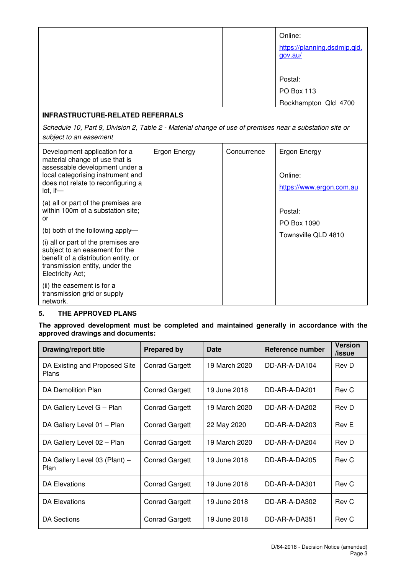|                                                                                                                                                                            |              |             | Online:                      |
|----------------------------------------------------------------------------------------------------------------------------------------------------------------------------|--------------|-------------|------------------------------|
|                                                                                                                                                                            |              |             | https://planning.dsdmip.qld. |
|                                                                                                                                                                            |              |             | gov.au/                      |
|                                                                                                                                                                            |              |             |                              |
|                                                                                                                                                                            |              |             | Postal:                      |
|                                                                                                                                                                            |              |             | <b>PO Box 113</b>            |
|                                                                                                                                                                            |              |             | Rockhampton Qld 4700         |
| <b>INFRASTRUCTURE-RELATED REFERRALS</b>                                                                                                                                    |              |             |                              |
| Schedule 10, Part 9, Division 2, Table 2 - Material change of use of premises near a substation site or<br>subject to an easement                                          |              |             |                              |
| Development application for a<br>material change of use that is<br>assessable development under a                                                                          | Ergon Energy | Concurrence | <b>Ergon Energy</b>          |
| local categorising instrument and                                                                                                                                          |              |             | Online:                      |
| does not relate to reconfiguring a<br>lot, if—                                                                                                                             |              |             | https://www.ergon.com.au     |
| (a) all or part of the premises are                                                                                                                                        |              |             |                              |
| within 100m of a substation site;<br>or                                                                                                                                    |              |             | Postal:                      |
| (b) both of the following apply-                                                                                                                                           |              |             | PO Box 1090                  |
| (i) all or part of the premises are<br>subject to an easement for the<br>benefit of a distribution entity, or<br>transmission entity, under the<br><b>Electricity Act;</b> |              |             | Townsville QLD 4810          |
| (ii) the easement is for a<br>transmission grid or supply<br>network.                                                                                                      |              |             |                              |

## **5. THE APPROVED PLANS**

**The approved development must be completed and maintained generally in accordance with the approved drawings and documents:** 

| <b>Drawing/report title</b>            | <b>Prepared by</b>    | <b>Date</b>   | Reference number | <b>Version</b><br>/issue |
|----------------------------------------|-----------------------|---------------|------------------|--------------------------|
| DA Existing and Proposed Site<br>Plans | <b>Conrad Gargett</b> | 19 March 2020 | DD-AR-A-DA104    | Rev D                    |
| DA Demolition Plan                     | <b>Conrad Gargett</b> | 19 June 2018  | DD-AR-A-DA201    | Rev C                    |
| DA Gallery Level G - Plan              | <b>Conrad Gargett</b> | 19 March 2020 | DD-AR-A-DA202    | Rev D                    |
| DA Gallery Level 01 - Plan             | <b>Conrad Gargett</b> | 22 May 2020   | DD-AR-A-DA203    | Rev E                    |
| DA Gallery Level 02 - Plan             | <b>Conrad Gargett</b> | 19 March 2020 | DD-AR-A-DA204    | Rev D                    |
| DA Gallery Level 03 (Plant) -<br>Plan  | <b>Conrad Gargett</b> | 19 June 2018  | DD-AR-A-DA205    | Rev C                    |
| DA Elevations                          | <b>Conrad Gargett</b> | 19 June 2018  | DD-AR-A-DA301    | Rev C                    |
| DA Elevations                          | <b>Conrad Gargett</b> | 19 June 2018  | DD-AR-A-DA302    | Rev C                    |
| DA Sections                            | <b>Conrad Gargett</b> | 19 June 2018  | DD-AR-A-DA351    | Rev C                    |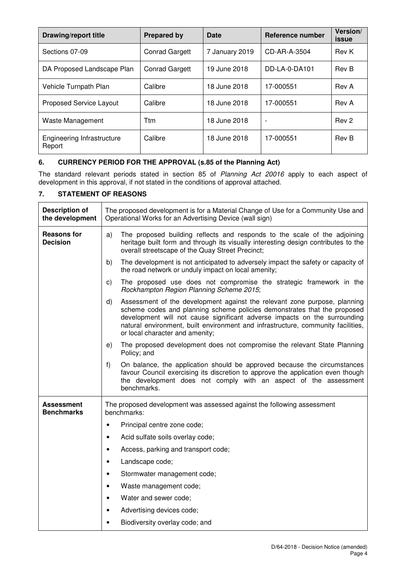| <b>Drawing/report title</b>          | <b>Prepared by</b>    | Date           | Reference number         | Version/<br><b>issue</b> |
|--------------------------------------|-----------------------|----------------|--------------------------|--------------------------|
| Sections 07-09                       | <b>Conrad Gargett</b> | 7 January 2019 | CD-AR-A-3504             | Rev K                    |
| DA Proposed Landscape Plan           | <b>Conrad Gargett</b> | 19 June 2018   | DD-LA-0-DA101            | Rev B                    |
| Vehicle Turnpath Plan                | Calibre               | 18 June 2018   | 17-000551                | Rev A                    |
| <b>Proposed Service Layout</b>       | Calibre               | 18 June 2018   | 17-000551                | Rev A                    |
| Waste Management                     | <b>T</b> tm           | 18 June 2018   | $\overline{\phantom{a}}$ | Rev 2                    |
| Engineering Infrastructure<br>Report | Calibre               | 18 June 2018   | 17-000551                | Rev B                    |

## **6. CURRENCY PERIOD FOR THE APPROVAL (s.85 of the Planning Act)**

The standard relevant periods stated in section 85 of Planning Act 20016 apply to each aspect of development in this approval, if not stated in the conditions of approval attached.

## **7. STATEMENT OF REASONS**

| <b>Description of</b><br>the development | The proposed development is for a Material Change of Use for a Community Use and<br>Operational Works for an Advertising Device (wall sign)                                                                                                                                                                                                                     |  |  |
|------------------------------------------|-----------------------------------------------------------------------------------------------------------------------------------------------------------------------------------------------------------------------------------------------------------------------------------------------------------------------------------------------------------------|--|--|
| <b>Reasons for</b><br><b>Decision</b>    | The proposed building reflects and responds to the scale of the adjoining<br>a)<br>heritage built form and through its visually interesting design contributes to the<br>overall streetscape of the Quay Street Precinct;                                                                                                                                       |  |  |
|                                          | The development is not anticipated to adversely impact the safety or capacity of<br>b)<br>the road network or unduly impact on local amenity;                                                                                                                                                                                                                   |  |  |
|                                          | $\mathsf{c})$<br>The proposed use does not compromise the strategic framework in the<br>Rockhampton Region Planning Scheme 2015;                                                                                                                                                                                                                                |  |  |
|                                          | Assessment of the development against the relevant zone purpose, planning<br>d)<br>scheme codes and planning scheme policies demonstrates that the proposed<br>development will not cause significant adverse impacts on the surrounding<br>natural environment, built environment and infrastructure, community facilities,<br>or local character and amenity; |  |  |
|                                          | The proposed development does not compromise the relevant State Planning<br>e)<br>Policy; and                                                                                                                                                                                                                                                                   |  |  |
|                                          | On balance, the application should be approved because the circumstances<br>f)<br>favour Council exercising its discretion to approve the application even though<br>the development does not comply with an aspect of the assessment<br>benchmarks.                                                                                                            |  |  |
| Assessment<br><b>Benchmarks</b>          | The proposed development was assessed against the following assessment<br>benchmarks:                                                                                                                                                                                                                                                                           |  |  |
|                                          | Principal centre zone code;                                                                                                                                                                                                                                                                                                                                     |  |  |
|                                          | Acid sulfate soils overlay code;<br>$\bullet$                                                                                                                                                                                                                                                                                                                   |  |  |
|                                          | Access, parking and transport code;<br>$\bullet$                                                                                                                                                                                                                                                                                                                |  |  |
|                                          | Landscape code;<br>$\bullet$                                                                                                                                                                                                                                                                                                                                    |  |  |
|                                          | Stormwater management code;<br>٠                                                                                                                                                                                                                                                                                                                                |  |  |
|                                          | Waste management code;<br>٠                                                                                                                                                                                                                                                                                                                                     |  |  |
|                                          | Water and sewer code;<br>$\bullet$                                                                                                                                                                                                                                                                                                                              |  |  |
|                                          | Advertising devices code;<br>٠                                                                                                                                                                                                                                                                                                                                  |  |  |
|                                          | Biodiversity overlay code; and                                                                                                                                                                                                                                                                                                                                  |  |  |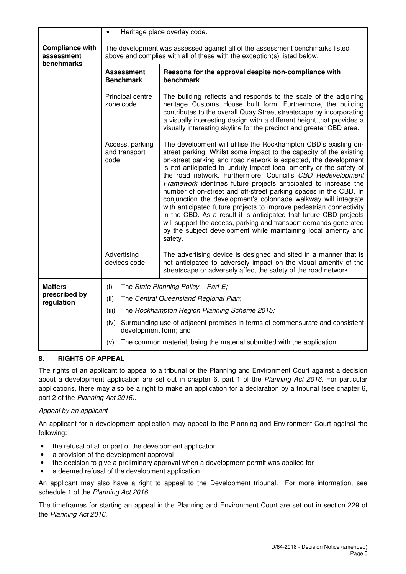|                                                    | $\bullet$                                                                                                                                                | Heritage place overlay code.                                                                                                                                                                                                                                                                                                                                                                                                                                                                                                                                                                                                                                                                                                                                                                                                                         |  |
|----------------------------------------------------|----------------------------------------------------------------------------------------------------------------------------------------------------------|------------------------------------------------------------------------------------------------------------------------------------------------------------------------------------------------------------------------------------------------------------------------------------------------------------------------------------------------------------------------------------------------------------------------------------------------------------------------------------------------------------------------------------------------------------------------------------------------------------------------------------------------------------------------------------------------------------------------------------------------------------------------------------------------------------------------------------------------------|--|
| <b>Compliance with</b><br>assessment<br>benchmarks | The development was assessed against all of the assessment benchmarks listed<br>above and complies with all of these with the exception(s) listed below. |                                                                                                                                                                                                                                                                                                                                                                                                                                                                                                                                                                                                                                                                                                                                                                                                                                                      |  |
|                                                    | <b>Assessment</b><br><b>Benchmark</b>                                                                                                                    | Reasons for the approval despite non-compliance with<br>benchmark                                                                                                                                                                                                                                                                                                                                                                                                                                                                                                                                                                                                                                                                                                                                                                                    |  |
|                                                    | Principal centre<br>zone code                                                                                                                            | The building reflects and responds to the scale of the adjoining<br>heritage Customs House built form. Furthermore, the building<br>contributes to the overall Quay Street streetscape by incorporating<br>a visually interesting design with a different height that provides a<br>visually interesting skyline for the precinct and greater CBD area.                                                                                                                                                                                                                                                                                                                                                                                                                                                                                              |  |
|                                                    | Access, parking<br>and transport<br>code                                                                                                                 | The development will utilise the Rockhampton CBD's existing on-<br>street parking. Whilst some impact to the capacity of the existing<br>on-street parking and road network is expected, the development<br>is not anticipated to unduly impact local amenity or the safety of<br>the road network. Furthermore, Council's CBD Redevelopment<br>Framework identifies future projects anticipated to increase the<br>number of on-street and off-street parking spaces in the CBD. In<br>conjunction the development's colonnade walkway will integrate<br>with anticipated future projects to improve pedestrian connectivity<br>in the CBD. As a result it is anticipated that future CBD projects<br>will support the access, parking and transport demands generated<br>by the subject development while maintaining local amenity and<br>safety. |  |
|                                                    | Advertising<br>devices code                                                                                                                              | The advertising device is designed and sited in a manner that is<br>not anticipated to adversely impact on the visual amenity of the<br>streetscape or adversely affect the safety of the road network.                                                                                                                                                                                                                                                                                                                                                                                                                                                                                                                                                                                                                                              |  |
| <b>Matters</b><br>prescribed by                    | (i)                                                                                                                                                      | The State Planning Policy - Part E;                                                                                                                                                                                                                                                                                                                                                                                                                                                                                                                                                                                                                                                                                                                                                                                                                  |  |
| regulation                                         | (ii)                                                                                                                                                     | The Central Queensland Regional Plan;                                                                                                                                                                                                                                                                                                                                                                                                                                                                                                                                                                                                                                                                                                                                                                                                                |  |
|                                                    | (iii)                                                                                                                                                    | The Rockhampton Region Planning Scheme 2015;                                                                                                                                                                                                                                                                                                                                                                                                                                                                                                                                                                                                                                                                                                                                                                                                         |  |
|                                                    | (iv)<br>development form; and                                                                                                                            | Surrounding use of adjacent premises in terms of commensurate and consistent                                                                                                                                                                                                                                                                                                                                                                                                                                                                                                                                                                                                                                                                                                                                                                         |  |
|                                                    | (v)                                                                                                                                                      | The common material, being the material submitted with the application.                                                                                                                                                                                                                                                                                                                                                                                                                                                                                                                                                                                                                                                                                                                                                                              |  |

## **8. RIGHTS OF APPEAL**

The rights of an applicant to appeal to a tribunal or the Planning and Environment Court against a decision about a development application are set out in chapter 6, part 1 of the Planning Act 2016. For particular applications, there may also be a right to make an application for a declaration by a tribunal (see chapter 6, part 2 of the Planning Act 2016).

#### Appeal by an applicant

An applicant for a development application may appeal to the Planning and Environment Court against the following:

- the refusal of all or part of the development application
- a provision of the development approval
- the decision to give a preliminary approval when a development permit was applied for
- a deemed refusal of the development application.

An applicant may also have a right to appeal to the Development tribunal. For more information, see schedule 1 of the Planning Act 2016.

The timeframes for starting an appeal in the Planning and Environment Court are set out in section 229 of the Planning Act 2016.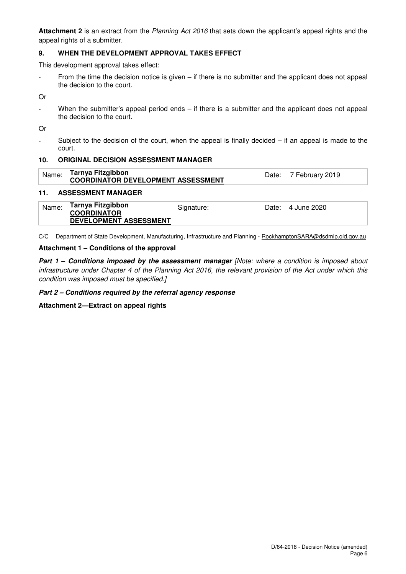**Attachment 2** is an extract from the Planning Act 2016 that sets down the applicant's appeal rights and the appeal rights of a submitter.

## **9. WHEN THE DEVELOPMENT APPROVAL TAKES EFFECT**

This development approval takes effect:

- From the time the decision notice is given – if there is no submitter and the applicant does not appeal the decision to the court.

Or

When the submitter's appeal period ends  $-$  if there is a submitter and the applicant does not appeal the decision to the court.

Or

- Subject to the decision of the court, when the appeal is finally decided – if an appeal is made to the court.

#### **10. ORIGINAL DECISION ASSESSMENT MANAGER**

| $^{\shortmid}$ $_{\sf Name:}$ Tarnya Fitzgibbon<br><b>COORDINATOR DEVELOPMENT ASSESSMENT</b> |  | Date: 7 February 2019 |  |
|----------------------------------------------------------------------------------------------|--|-----------------------|--|
|----------------------------------------------------------------------------------------------|--|-----------------------|--|

#### **11. ASSESSMENT MANAGER**

| Name: | Tarnya Fitzgibbon<br><b>COORDINATOR</b><br>DEVELOPMENT ASSESSMENT | Signature: |  | Date: 4 June 2020 |
|-------|-------------------------------------------------------------------|------------|--|-------------------|
|-------|-------------------------------------------------------------------|------------|--|-------------------|

C/C Department of State Development, Manufacturing, Infrastructure and Planning - RockhamptonSARA@dsdmip.qld.gov.au

#### **Attachment 1 – Conditions of the approval**

**Part 1 - Conditions imposed by the assessment manager [Note: where a condition is imposed about** infrastructure under Chapter 4 of the Planning Act 2016, the relevant provision of the Act under which this condition was imposed must be specified.]

#### **Part 2 – Conditions required by the referral agency response**

**Attachment 2—Extract on appeal rights**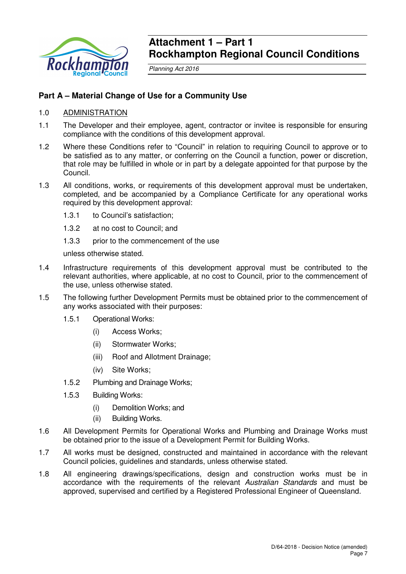

## **Attachment 1 – Part 1 Rockhampton Regional Council Conditions**

Planning Act 2016

## **Part A – Material Change of Use for a Community Use**

#### 1.0 ADMINISTRATION

- 1.1 The Developer and their employee, agent, contractor or invitee is responsible for ensuring compliance with the conditions of this development approval.
- 1.2 Where these Conditions refer to "Council" in relation to requiring Council to approve or to be satisfied as to any matter, or conferring on the Council a function, power or discretion, that role may be fulfilled in whole or in part by a delegate appointed for that purpose by the Council.
- 1.3 All conditions, works, or requirements of this development approval must be undertaken, completed, and be accompanied by a Compliance Certificate for any operational works required by this development approval:
	- 1.3.1 to Council's satisfaction;
	- 1.3.2 at no cost to Council; and
	- 1.3.3 prior to the commencement of the use

unless otherwise stated.

- 1.4 Infrastructure requirements of this development approval must be contributed to the relevant authorities, where applicable, at no cost to Council, prior to the commencement of the use, unless otherwise stated.
- 1.5 The following further Development Permits must be obtained prior to the commencement of any works associated with their purposes:
	- 1.5.1 Operational Works:
		- (i) Access Works;
		- (ii) Stormwater Works;
		- (iii) Roof and Allotment Drainage;
		- (iv) Site Works;
	- 1.5.2 Plumbing and Drainage Works;
	- 1.5.3 Building Works:
		- (i) Demolition Works; and
		- (ii) Building Works.
- 1.6 All Development Permits for Operational Works and Plumbing and Drainage Works must be obtained prior to the issue of a Development Permit for Building Works.
- 1.7 All works must be designed, constructed and maintained in accordance with the relevant Council policies, guidelines and standards, unless otherwise stated.
- 1.8 All engineering drawings/specifications, design and construction works must be in accordance with the requirements of the relevant Australian Standards and must be approved, supervised and certified by a Registered Professional Engineer of Queensland.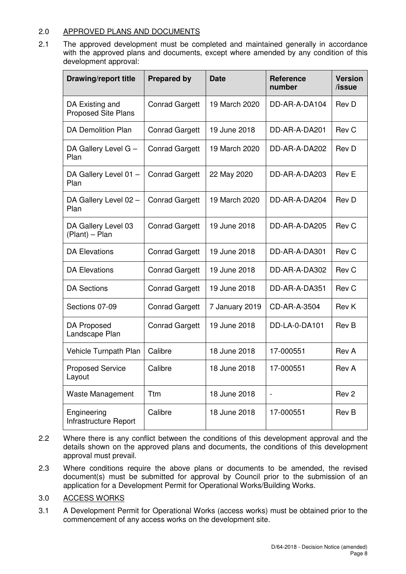## 2.0 APPROVED PLANS AND DOCUMENTS

2.1 The approved development must be completed and maintained generally in accordance with the approved plans and documents, except where amended by any condition of this development approval:

| <b>Drawing/report title</b>                   | <b>Prepared by</b>    | <b>Date</b>    | Reference<br>number          | <b>Version</b><br>/issue |
|-----------------------------------------------|-----------------------|----------------|------------------------------|--------------------------|
| DA Existing and<br><b>Proposed Site Plans</b> | <b>Conrad Gargett</b> | 19 March 2020  | DD-AR-A-DA104                | Rev D                    |
| <b>DA Demolition Plan</b>                     | <b>Conrad Gargett</b> | 19 June 2018   | DD-AR-A-DA201                | Rev C                    |
| DA Gallery Level G -<br>Plan                  | <b>Conrad Gargett</b> | 19 March 2020  | DD-AR-A-DA202                | Rev D                    |
| DA Gallery Level 01 -<br>Plan                 | <b>Conrad Gargett</b> | 22 May 2020    | DD-AR-A-DA203                | Rev E                    |
| DA Gallery Level 02 -<br>Plan                 | <b>Conrad Gargett</b> | 19 March 2020  | DD-AR-A-DA204                | <b>Rev D</b>             |
| DA Gallery Level 03<br>(Plant) - Plan         | <b>Conrad Gargett</b> | 19 June 2018   | DD-AR-A-DA205                | Rev C                    |
| <b>DA Elevations</b>                          | <b>Conrad Gargett</b> | 19 June 2018   | DD-AR-A-DA301                | Rev C                    |
| <b>DA Elevations</b>                          | <b>Conrad Gargett</b> | 19 June 2018   | DD-AR-A-DA302                | Rev C                    |
| <b>DA Sections</b>                            | <b>Conrad Gargett</b> | 19 June 2018   | DD-AR-A-DA351                | Rev C                    |
| Sections 07-09                                | <b>Conrad Gargett</b> | 7 January 2019 | CD-AR-A-3504                 | Rev K                    |
| DA Proposed<br>Landscape Plan                 | <b>Conrad Gargett</b> | 19 June 2018   | DD-LA-0-DA101                | <b>Rev B</b>             |
| Vehicle Turnpath Plan                         | Calibre               | 18 June 2018   | 17-000551                    | Rev A                    |
| <b>Proposed Service</b><br>Layout             | Calibre               | 18 June 2018   | 17-000551                    | Rev A                    |
| <b>Waste Management</b>                       | Ttm                   | 18 June 2018   | $\qquad \qquad \blacksquare$ | Rev <sub>2</sub>         |
| Engineering<br>Infrastructure Report          | Calibre               | 18 June 2018   | 17-000551                    | Rev B                    |

- 2.2 Where there is any conflict between the conditions of this development approval and the details shown on the approved plans and documents, the conditions of this development approval must prevail.
- 2.3 Where conditions require the above plans or documents to be amended, the revised document(s) must be submitted for approval by Council prior to the submission of an application for a Development Permit for Operational Works/Building Works.

## 3.0 ACCESS WORKS

3.1 A Development Permit for Operational Works (access works) must be obtained prior to the commencement of any access works on the development site.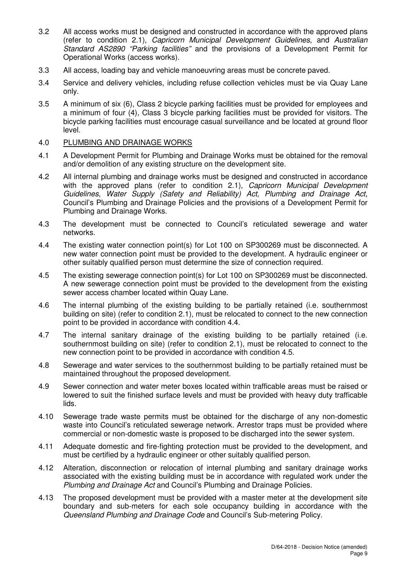- 3.2 All access works must be designed and constructed in accordance with the approved plans (refer to condition 2.1), Capricorn Municipal Development Guidelines, and Australian Standard AS2890 "Parking facilities" and the provisions of a Development Permit for Operational Works (access works).
- 3.3 All access, loading bay and vehicle manoeuvring areas must be concrete paved.
- 3.4 Service and delivery vehicles, including refuse collection vehicles must be via Quay Lane only.
- 3.5 A minimum of six (6), Class 2 bicycle parking facilities must be provided for employees and a minimum of four (4), Class 3 bicycle parking facilities must be provided for visitors. The bicycle parking facilities must encourage casual surveillance and be located at ground floor level.

#### 4.0 PLUMBING AND DRAINAGE WORKS

- 4.1 A Development Permit for Plumbing and Drainage Works must be obtained for the removal and/or demolition of any existing structure on the development site.
- 4.2 All internal plumbing and drainage works must be designed and constructed in accordance with the approved plans (refer to condition 2.1), Capricorn Municipal Development Guidelines, Water Supply (Safety and Reliability) Act, Plumbing and Drainage Act, Council's Plumbing and Drainage Policies and the provisions of a Development Permit for Plumbing and Drainage Works.
- 4.3 The development must be connected to Council's reticulated sewerage and water networks.
- 4.4 The existing water connection point(s) for Lot 100 on SP300269 must be disconnected. A new water connection point must be provided to the development. A hydraulic engineer or other suitably qualified person must determine the size of connection required.
- 4.5 The existing sewerage connection point(s) for Lot 100 on SP300269 must be disconnected. A new sewerage connection point must be provided to the development from the existing sewer access chamber located within Quay Lane.
- 4.6 The internal plumbing of the existing building to be partially retained (i.e. southernmost building on site) (refer to condition 2.1), must be relocated to connect to the new connection point to be provided in accordance with condition 4.4.
- 4.7 The internal sanitary drainage of the existing building to be partially retained (i.e. southernmost building on site) (refer to condition 2.1), must be relocated to connect to the new connection point to be provided in accordance with condition 4.5.
- 4.8 Sewerage and water services to the southernmost building to be partially retained must be maintained throughout the proposed development.
- 4.9 Sewer connection and water meter boxes located within trafficable areas must be raised or lowered to suit the finished surface levels and must be provided with heavy duty trafficable lids.
- 4.10 Sewerage trade waste permits must be obtained for the discharge of any non-domestic waste into Council's reticulated sewerage network. Arrestor traps must be provided where commercial or non-domestic waste is proposed to be discharged into the sewer system.
- 4.11 Adequate domestic and fire-fighting protection must be provided to the development, and must be certified by a hydraulic engineer or other suitably qualified person.
- 4.12 Alteration, disconnection or relocation of internal plumbing and sanitary drainage works associated with the existing building must be in accordance with regulated work under the Plumbing and Drainage Act and Council's Plumbing and Drainage Policies.
- 4.13 The proposed development must be provided with a master meter at the development site boundary and sub-meters for each sole occupancy building in accordance with the Queensland Plumbing and Drainage Code and Council's Sub-metering Policy.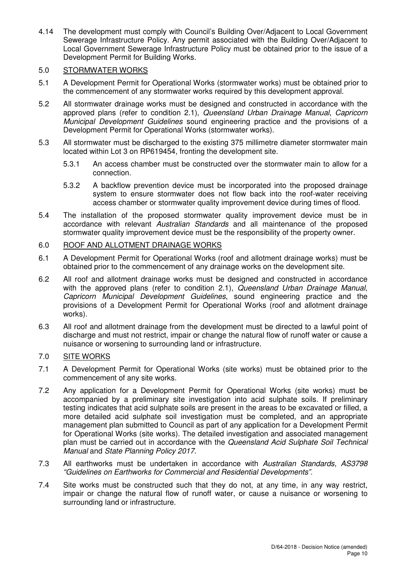4.14 The development must comply with Council's Building Over/Adjacent to Local Government Sewerage Infrastructure Policy. Any permit associated with the Building Over/Adjacent to Local Government Sewerage Infrastructure Policy must be obtained prior to the issue of a Development Permit for Building Works.

## 5.0 STORMWATER WORKS

- 5.1 A Development Permit for Operational Works (stormwater works) must be obtained prior to the commencement of any stormwater works required by this development approval.
- 5.2 All stormwater drainage works must be designed and constructed in accordance with the approved plans (refer to condition 2.1), Queensland Urban Drainage Manual, Capricorn Municipal Development Guidelines sound engineering practice and the provisions of a Development Permit for Operational Works (stormwater works).
- 5.3 All stormwater must be discharged to the existing 375 millimetre diameter stormwater main located within Lot 3 on RP619454, fronting the development site.
	- 5.3.1 An access chamber must be constructed over the stormwater main to allow for a connection.
	- 5.3.2 A backflow prevention device must be incorporated into the proposed drainage system to ensure stormwater does not flow back into the roof-water receiving access chamber or stormwater quality improvement device during times of flood.
- 5.4 The installation of the proposed stormwater quality improvement device must be in accordance with relevant Australian Standards and all maintenance of the proposed stormwater quality improvement device must be the responsibility of the property owner.

## 6.0 ROOF AND ALLOTMENT DRAINAGE WORKS

- 6.1 A Development Permit for Operational Works (roof and allotment drainage works) must be obtained prior to the commencement of any drainage works on the development site.
- 6.2 All roof and allotment drainage works must be designed and constructed in accordance with the approved plans (refer to condition 2.1), Queensland Urban Drainage Manual, Capricorn Municipal Development Guidelines, sound engineering practice and the provisions of a Development Permit for Operational Works (roof and allotment drainage works).
- 6.3 All roof and allotment drainage from the development must be directed to a lawful point of discharge and must not restrict, impair or change the natural flow of runoff water or cause a nuisance or worsening to surrounding land or infrastructure.

## 7.0 SITE WORKS

- 7.1 A Development Permit for Operational Works (site works) must be obtained prior to the commencement of any site works.
- 7.2 Any application for a Development Permit for Operational Works (site works) must be accompanied by a preliminary site investigation into acid sulphate soils. If preliminary testing indicates that acid sulphate soils are present in the areas to be excavated or filled, a more detailed acid sulphate soil investigation must be completed, and an appropriate management plan submitted to Council as part of any application for a Development Permit for Operational Works (site works). The detailed investigation and associated management plan must be carried out in accordance with the Queensland Acid Sulphate Soil Technical Manual and State Planning Policy 2017.
- 7.3 All earthworks must be undertaken in accordance with Australian Standards, AS3798 "Guidelines on Earthworks for Commercial and Residential Developments".
- 7.4 Site works must be constructed such that they do not, at any time, in any way restrict, impair or change the natural flow of runoff water, or cause a nuisance or worsening to surrounding land or infrastructure.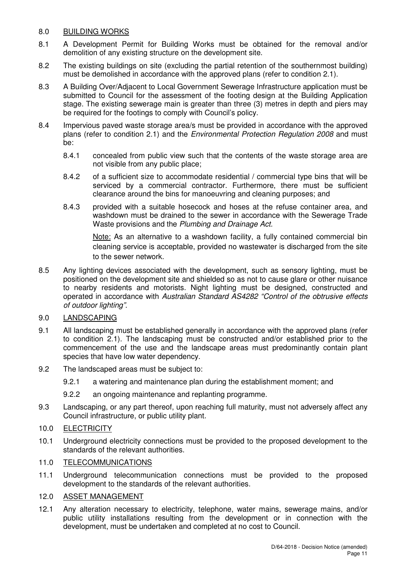## 8.0 BUILDING WORKS

- 8.1 A Development Permit for Building Works must be obtained for the removal and/or demolition of any existing structure on the development site.
- 8.2 The existing buildings on site (excluding the partial retention of the southernmost building) must be demolished in accordance with the approved plans (refer to condition 2.1).
- 8.3 A Building Over/Adjacent to Local Government Sewerage Infrastructure application must be submitted to Council for the assessment of the footing design at the Building Application stage. The existing sewerage main is greater than three (3) metres in depth and piers may be required for the footings to comply with Council's policy.
- 8.4 Impervious paved waste storage area/s must be provided in accordance with the approved plans (refer to condition 2.1) and the Environmental Protection Regulation 2008 and must be:
	- 8.4.1 concealed from public view such that the contents of the waste storage area are not visible from any public place;
	- 8.4.2 of a sufficient size to accommodate residential / commercial type bins that will be serviced by a commercial contractor. Furthermore, there must be sufficient clearance around the bins for manoeuvring and cleaning purposes; and
	- 8.4.3 provided with a suitable hosecock and hoses at the refuse container area, and washdown must be drained to the sewer in accordance with the Sewerage Trade Waste provisions and the Plumbing and Drainage Act.

Note: As an alternative to a washdown facility, a fully contained commercial bin cleaning service is acceptable, provided no wastewater is discharged from the site to the sewer network.

8.5 Any lighting devices associated with the development, such as sensory lighting, must be positioned on the development site and shielded so as not to cause glare or other nuisance to nearby residents and motorists. Night lighting must be designed, constructed and operated in accordance with Australian Standard AS4282 "Control of the obtrusive effects of outdoor lighting".

## 9.0 LANDSCAPING

- 9.1 All landscaping must be established generally in accordance with the approved plans (refer to condition 2.1). The landscaping must be constructed and/or established prior to the commencement of the use and the landscape areas must predominantly contain plant species that have low water dependency.
- 9.2 The landscaped areas must be subject to:
	- 9.2.1 a watering and maintenance plan during the establishment moment; and
	- 9.2.2 an ongoing maintenance and replanting programme.
- 9.3 Landscaping, or any part thereof, upon reaching full maturity, must not adversely affect any Council infrastructure, or public utility plant.

## 10.0 ELECTRICITY

10.1 Underground electricity connections must be provided to the proposed development to the standards of the relevant authorities.

#### 11.0 TELECOMMUNICATIONS

11.1 Underground telecommunication connections must be provided to the proposed development to the standards of the relevant authorities.

## 12.0 ASSET MANAGEMENT

12.1 Any alteration necessary to electricity, telephone, water mains, sewerage mains, and/or public utility installations resulting from the development or in connection with the development, must be undertaken and completed at no cost to Council.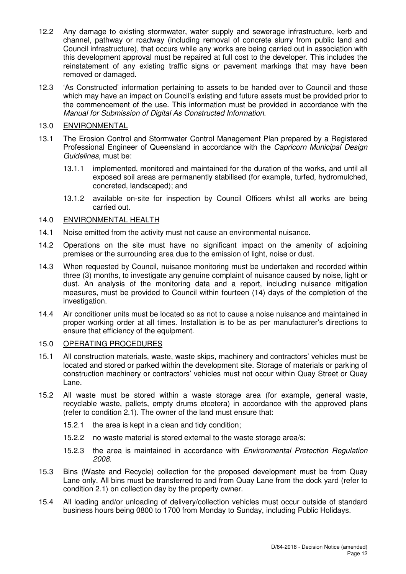- 12.2 Any damage to existing stormwater, water supply and sewerage infrastructure, kerb and channel, pathway or roadway (including removal of concrete slurry from public land and Council infrastructure), that occurs while any works are being carried out in association with this development approval must be repaired at full cost to the developer. This includes the reinstatement of any existing traffic signs or pavement markings that may have been removed or damaged.
- 12.3 'As Constructed' information pertaining to assets to be handed over to Council and those which may have an impact on Council's existing and future assets must be provided prior to the commencement of the use. This information must be provided in accordance with the Manual for Submission of Digital As Constructed Information.

## 13.0 ENVIRONMENTAL

- 13.1 The Erosion Control and Stormwater Control Management Plan prepared by a Registered Professional Engineer of Queensland in accordance with the *Capricorn Municipal Design* Guidelines, must be:
	- 13.1.1 implemented, monitored and maintained for the duration of the works, and until all exposed soil areas are permanently stabilised (for example, turfed, hydromulched, concreted, landscaped); and
	- 13.1.2 available on-site for inspection by Council Officers whilst all works are being carried out.

## 14.0 ENVIRONMENTAL HEALTH

- 14.1 Noise emitted from the activity must not cause an environmental nuisance.
- 14.2 Operations on the site must have no significant impact on the amenity of adjoining premises or the surrounding area due to the emission of light, noise or dust.
- 14.3 When requested by Council, nuisance monitoring must be undertaken and recorded within three (3) months, to investigate any genuine complaint of nuisance caused by noise, light or dust. An analysis of the monitoring data and a report, including nuisance mitigation measures, must be provided to Council within fourteen (14) days of the completion of the investigation.
- 14.4 Air conditioner units must be located so as not to cause a noise nuisance and maintained in proper working order at all times. Installation is to be as per manufacturer's directions to ensure that efficiency of the equipment.

## 15.0 OPERATING PROCEDURES

- 15.1 All construction materials, waste, waste skips, machinery and contractors' vehicles must be located and stored or parked within the development site. Storage of materials or parking of construction machinery or contractors' vehicles must not occur within Quay Street or Quay Lane.
- 15.2 All waste must be stored within a waste storage area (for example, general waste, recyclable waste, pallets, empty drums etcetera) in accordance with the approved plans (refer to condition 2.1). The owner of the land must ensure that:
	- 15.2.1 the area is kept in a clean and tidy condition;
	- 15.2.2 no waste material is stored external to the waste storage area/s;
	- 15.2.3 the area is maintained in accordance with Environmental Protection Regulation 2008.
- 15.3 Bins (Waste and Recycle) collection for the proposed development must be from Quay Lane only. All bins must be transferred to and from Quay Lane from the dock yard (refer to condition 2.1) on collection day by the property owner.
- 15.4 All loading and/or unloading of delivery/collection vehicles must occur outside of standard business hours being 0800 to 1700 from Monday to Sunday, including Public Holidays.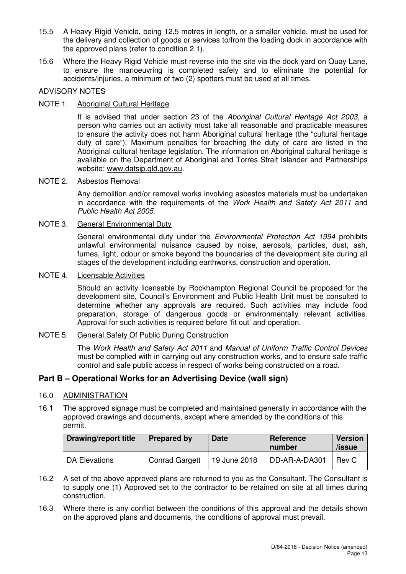- 15.5 A Heavy Rigid Vehicle, being 12.5 metres in length, or a smaller vehicle, must be used for the delivery and collection of goods or services to/from the loading dock in accordance with the approved plans (refer to condition 2.1).
- 15.6 Where the Heavy Rigid Vehicle must reverse into the site via the dock yard on Quay Lane, to ensure the manoeuvring is completed safely and to eliminate the potential for accidents/injuries, a minimum of two (2) spotters must be used at all times.

## ADVISORY NOTES

## NOTE 1. Aboriginal Cultural Heritage

It is advised that under section 23 of the Aboriginal Cultural Heritage Act 2003, a person who carries out an activity must take all reasonable and practicable measures to ensure the activity does not harm Aboriginal cultural heritage (the "cultural heritage duty of care"). Maximum penalties for breaching the duty of care are listed in the Aboriginal cultural heritage legislation. The information on Aboriginal cultural heritage is available on the Department of Aboriginal and Torres Strait Islander and Partnerships website: www.datsip.qld.gov.au.

## NOTE 2. Asbestos Removal

Any demolition and/or removal works involving asbestos materials must be undertaken in accordance with the requirements of the Work Health and Safety Act 2011 and Public Health Act 2005.

## NOTE 3. General Environmental Duty

General environmental duty under the *Environmental Protection Act 1994* prohibits unlawful environmental nuisance caused by noise, aerosols, particles, dust, ash, fumes, light, odour or smoke beyond the boundaries of the development site during all stages of the development including earthworks, construction and operation.

#### NOTE 4. Licensable Activities

Should an activity licensable by Rockhampton Regional Council be proposed for the development site, Council's Environment and Public Health Unit must be consulted to determine whether any approvals are required. Such activities may include food preparation, storage of dangerous goods or environmentally relevant activities. Approval for such activities is required before 'fit out' and operation.

#### NOTE 5. General Safety Of Public During Construction

The Work Health and Safety Act 2011 and Manual of Uniform Traffic Control Devices must be complied with in carrying out any construction works, and to ensure safe traffic control and safe public access in respect of works being constructed on a road.

## **Part B – Operational Works for an Advertising Device (wall sign)**

## 16.0 ADMINISTRATION

16.1 The approved signage must be completed and maintained generally in accordance with the approved drawings and documents, except where amended by the conditions of this permit.

| <b>Drawing/report title</b> | <b>Prepared by</b>    | <b>Date</b>  | Reference<br>number | <b>Version</b><br>/issue |
|-----------------------------|-----------------------|--------------|---------------------|--------------------------|
| DA Elevations               | <b>Conrad Gargett</b> | 19 June 2018 | DD-AR-A-DA301       | Rev C                    |

- 16.2 A set of the above approved plans are returned to you as the Consultant. The Consultant is to supply one (1) Approved set to the contractor to be retained on site at all times during construction.
- 16.3 Where there is any conflict between the conditions of this approval and the details shown on the approved plans and documents, the conditions of approval must prevail.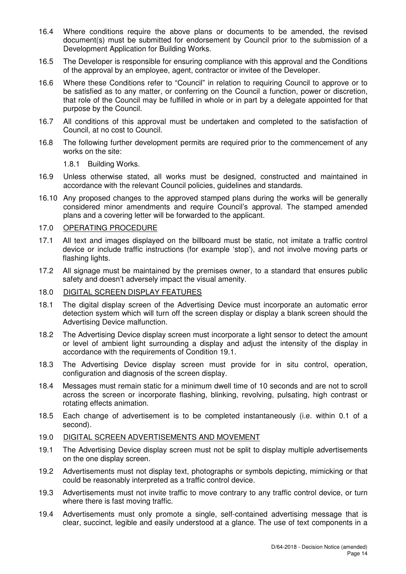- 16.4 Where conditions require the above plans or documents to be amended, the revised document(s) must be submitted for endorsement by Council prior to the submission of a Development Application for Building Works.
- 16.5 The Developer is responsible for ensuring compliance with this approval and the Conditions of the approval by an employee, agent, contractor or invitee of the Developer.
- 16.6 Where these Conditions refer to "Council" in relation to requiring Council to approve or to be satisfied as to any matter, or conferring on the Council a function, power or discretion, that role of the Council may be fulfilled in whole or in part by a delegate appointed for that purpose by the Council.
- 16.7 All conditions of this approval must be undertaken and completed to the satisfaction of Council, at no cost to Council.
- 16.8 The following further development permits are required prior to the commencement of any works on the site:

1.8.1 Building Works.

- 16.9 Unless otherwise stated, all works must be designed, constructed and maintained in accordance with the relevant Council policies, guidelines and standards.
- 16.10 Any proposed changes to the approved stamped plans during the works will be generally considered minor amendments and require Council's approval. The stamped amended plans and a covering letter will be forwarded to the applicant.

#### 17.0 OPERATING PROCEDURE

- 17.1 All text and images displayed on the billboard must be static, not imitate a traffic control device or include traffic instructions (for example 'stop'), and not involve moving parts or flashing lights.
- 17.2 All signage must be maintained by the premises owner, to a standard that ensures public safety and doesn't adversely impact the visual amenity.

#### 18.0 DIGITAL SCREEN DISPLAY FEATURES

- 18.1 The digital display screen of the Advertising Device must incorporate an automatic error detection system which will turn off the screen display or display a blank screen should the Advertising Device malfunction.
- 18.2 The Advertising Device display screen must incorporate a light sensor to detect the amount or level of ambient light surrounding a display and adjust the intensity of the display in accordance with the requirements of Condition 19.1.
- 18.3 The Advertising Device display screen must provide for in situ control, operation, configuration and diagnosis of the screen display.
- 18.4 Messages must remain static for a minimum dwell time of 10 seconds and are not to scroll across the screen or incorporate flashing, blinking, revolving, pulsating, high contrast or rotating effects animation.
- 18.5 Each change of advertisement is to be completed instantaneously (i.e. within 0.1 of a second).

#### 19.0 DIGITAL SCREEN ADVERTISEMENTS AND MOVEMENT

- 19.1 The Advertising Device display screen must not be split to display multiple advertisements on the one display screen.
- 19.2 Advertisements must not display text, photographs or symbols depicting, mimicking or that could be reasonably interpreted as a traffic control device.
- 19.3 Advertisements must not invite traffic to move contrary to any traffic control device, or turn where there is fast moving traffic.
- 19.4 Advertisements must only promote a single, self-contained advertising message that is clear, succinct, legible and easily understood at a glance. The use of text components in a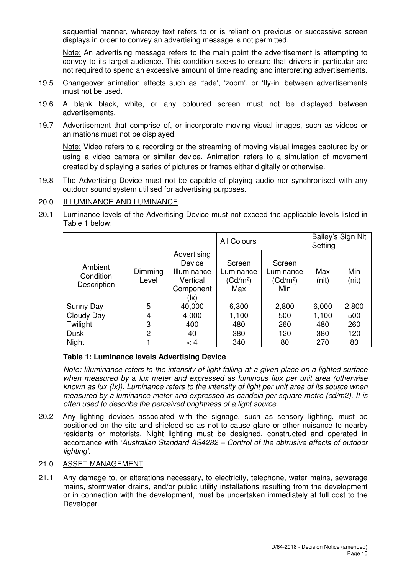sequential manner, whereby text refers to or is reliant on previous or successive screen displays in order to convey an advertising message is not permitted.

 Note: An advertising message refers to the main point the advertisement is attempting to convey to its target audience. This condition seeks to ensure that drivers in particular are not required to spend an excessive amount of time reading and interpreting advertisements.

- 19.5 Changeover animation effects such as 'fade', 'zoom', or 'fly-in' between advertisements must not be used.
- 19.6 A blank black, white, or any coloured screen must not be displayed between advertisements.
- 19.7 Advertisement that comprise of, or incorporate moving visual images, such as videos or animations must not be displayed.

 Note: Video refers to a recording or the streaming of moving visual images captured by or using a video camera or similar device. Animation refers to a simulation of movement created by displaying a series of pictures or frames either digitally or otherwise.

19.8 The Advertising Device must not be capable of playing audio nor synchronised with any outdoor sound system utilised for advertising purposes.

## 20.0 ILLUMINANCE AND LUMINANCE

20.1 Luminance levels of the Advertising Device must not exceed the applicable levels listed in Table 1 below:

|                                     |                  |                                                                      | <b>All Colours</b>                                 |                                                    | Setting      | Bailey's Sign Nit |
|-------------------------------------|------------------|----------------------------------------------------------------------|----------------------------------------------------|----------------------------------------------------|--------------|-------------------|
| Ambient<br>Condition<br>Description | Dimming<br>Level | Advertising<br>Device<br>Illuminance<br>Vertical<br>Component<br>(Ix | Screen<br>Luminance<br>(Cd/m <sup>2</sup> )<br>Max | Screen<br>Luminance<br>(Cd/m <sup>2</sup> )<br>Min | Max<br>(nit) | Min<br>(nit)      |
| <b>Sunny Day</b>                    | 5                | 40,000                                                               | 6,300                                              | 2,800                                              | 6,000        | 2,800             |
| Cloudy Day                          | 4                | 4,000                                                                | 1,100                                              | 500                                                | 1,100        | 500               |
| Twilight                            | 3                | 400                                                                  | 480                                                | 260                                                | 480          | 260               |
| <b>Dusk</b>                         | 2                | 40                                                                   | 380                                                | 120                                                | 380          | 120               |
| Night                               |                  | $\lt 4$                                                              | 340                                                | 80                                                 | 270          | 80                |

## **Table 1: Luminance levels Advertising Device**

known as lux (Ix)). Luminance refers to the intensity of light per unit area of its source when Note: I/luminance refers to the intensity of light falling at a given place on a lighted surface when measured by a lux meter and expressed as luminous flux per unit area (otherwise measured by a luminance meter and expressed as candela per square metre (cd/m2). It is often used to describe the perceived brightness of a light source.

20.2 Any lighting devices associated with the signage, such as sensory lighting, must be positioned on the site and shielded so as not to cause glare or other nuisance to nearby residents or motorists. Night lighting must be designed, constructed and operated in accordance with 'Australian Standard AS4282 – Control of the obtrusive effects of outdoor lighting'.

## 21.0 ASSET MANAGEMENT

21.1 Any damage to, or alterations necessary, to electricity, telephone, water mains, sewerage mains, stormwater drains, and/or public utility installations resulting from the development or in connection with the development, must be undertaken immediately at full cost to the Developer.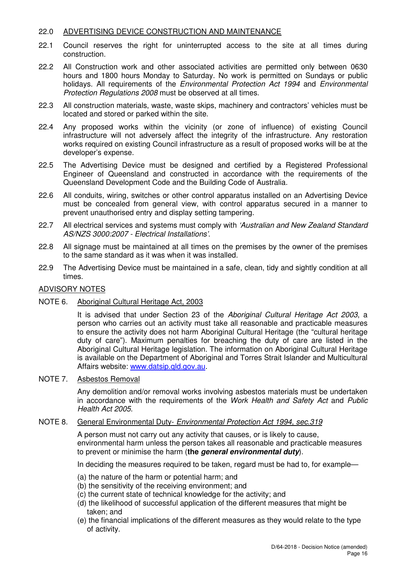## 22.0 ADVERTISING DEVICE CONSTRUCTION AND MAINTENANCE

- 22.1 Council reserves the right for uninterrupted access to the site at all times during construction.
- 22.2 All Construction work and other associated activities are permitted only between 0630 hours and 1800 hours Monday to Saturday. No work is permitted on Sundays or public holidays. All requirements of the Environmental Protection Act 1994 and Environmental Protection Regulations 2008 must be observed at all times.
- 22.3 All construction materials, waste, waste skips, machinery and contractors' vehicles must be located and stored or parked within the site.
- 22.4 Any proposed works within the vicinity (or zone of influence) of existing Council infrastructure will not adversely affect the integrity of the infrastructure. Any restoration works required on existing Council infrastructure as a result of proposed works will be at the developer's expense.
- 22.5 The Advertising Device must be designed and certified by a Registered Professional Engineer of Queensland and constructed in accordance with the requirements of the Queensland Development Code and the Building Code of Australia.
- 22.6 All conduits, wiring, switches or other control apparatus installed on an Advertising Device must be concealed from general view, with control apparatus secured in a manner to prevent unauthorised entry and display setting tampering.
- 22.7 All electrical services and systems must comply with 'Australian and New Zealand Standard AS/NZS 3000:2007 - Electrical Installations'.
- 22.8 All signage must be maintained at all times on the premises by the owner of the premises to the same standard as it was when it was installed.
- 22.9 The Advertising Device must be maintained in a safe, clean, tidy and sightly condition at all times.

#### ADVISORY NOTES

#### NOTE 6. Aboriginal Cultural Heritage Act, 2003

It is advised that under Section 23 of the Aboriginal Cultural Heritage Act 2003, a person who carries out an activity must take all reasonable and practicable measures to ensure the activity does not harm Aboriginal Cultural Heritage (the "cultural heritage duty of care"). Maximum penalties for breaching the duty of care are listed in the Aboriginal Cultural Heritage legislation. The information on Aboriginal Cultural Heritage is available on the Department of Aboriginal and Torres Strait Islander and Multicultural Affairs website: www.datsip.qld.gov.au.

#### NOTE 7. Asbestos Removal

Any demolition and/or removal works involving asbestos materials must be undertaken in accordance with the requirements of the Work Health and Safety Act and Public Health Act 2005.

#### NOTE 8. General Environmental Duty- Environmental Protection Act 1994, sec.319

A person must not carry out any activity that causes, or is likely to cause, environmental harm unless the person takes all reasonable and practicable measures to prevent or minimise the harm (**the general environmental duty**).

In deciding the measures required to be taken, regard must be had to, for example—

- (a) the nature of the harm or potential harm; and
- (b) the sensitivity of the receiving environment; and
- (c) the current state of technical knowledge for the activity; and
- (d) the likelihood of successful application of the different measures that might be taken; and
- (e) the financial implications of the different measures as they would relate to the type of activity.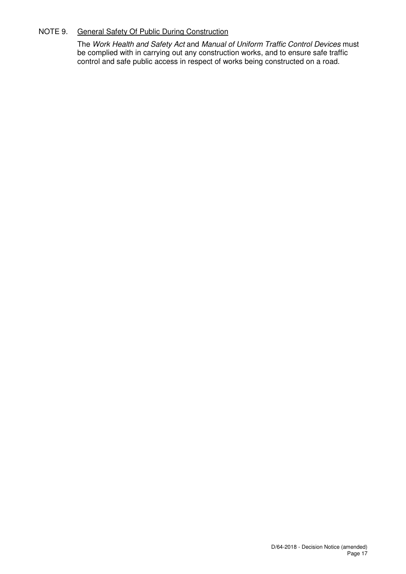## NOTE 9. General Safety Of Public During Construction

The Work Health and Safety Act and Manual of Uniform Traffic Control Devices must be complied with in carrying out any construction works, and to ensure safe traffic control and safe public access in respect of works being constructed on a road.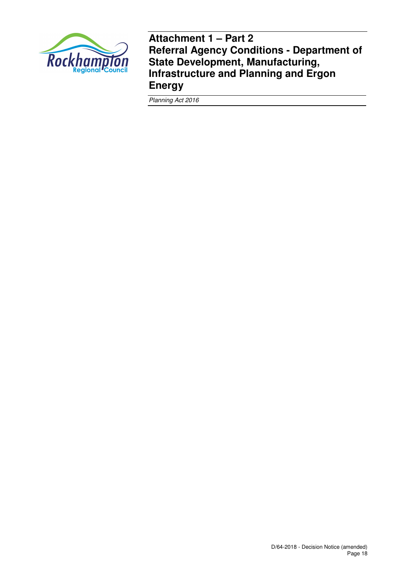

**Attachment 1 – Part 2 Referral Agency Conditions - Department of State Development, Manufacturing, Infrastructure and Planning and Ergon Energy** 

Planning Act 2016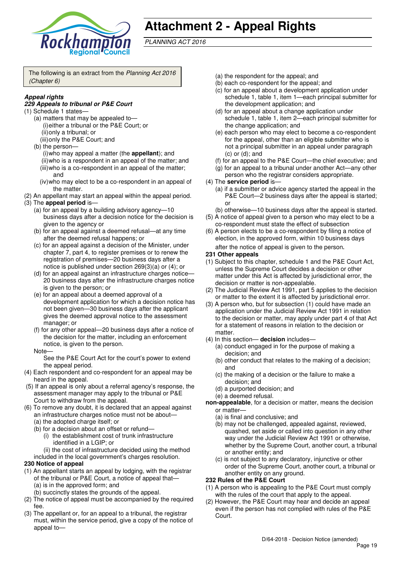

## **Attachment 2 - Appeal Rights**

PLANNING ACT 2016

The following is an extract from the Planning Act 2016 (Chapter 6)

## **Appeal rights**

#### **229 Appeals to tribunal or P&E Court**

- (1) Schedule 1 states—
	- (a) matters that may be appealed to— (i) either a tribunal or the P&E Court; or (ii) only a tribunal; or
		- (iii) only the P&E Court; and
	- (b) the person— (i) who may appeal a matter (the **appellant**); and (ii) who is a respondent in an appeal of the matter; and (iii) who is a co-respondent in an appeal of the matter; and
		- (iv) who may elect to be a co-respondent in an appeal of the matter.
- (2) An appellant may start an appeal within the appeal period.
- (3) The **appeal period** is—
	- (a) for an appeal by a building advisory agency—10 business days after a decision notice for the decision is given to the agency or
	- (b) for an appeal against a deemed refusal—at any time after the deemed refusal happens; or
	- (c) for an appeal against a decision of the Minister, under chapter 7, part 4, to register premises or to renew the registration of premises—20 business days after a notice is published under section 269(3)(a) or (4); or
	- (d) for an appeal against an infrastructure charges notice-20 business days after the infrastructure charges notice is given to the person; or
	- (e) for an appeal about a deemed approval of a development application for which a decision notice has not been given—30 business days after the applicant gives the deemed approval notice to the assessment manager; or
	- (f) for any other appeal—20 business days after a notice of the decision for the matter, including an enforcement notice, is given to the person.
	- **Note**

See the P&E Court Act for the court's power to extend the appeal period.

- (4) Each respondent and co-respondent for an appeal may be heard in the appeal.
- (5) If an appeal is only about a referral agency's response, the assessment manager may apply to the tribunal or P&E Court to withdraw from the appeal.
- (6) To remove any doubt, it is declared that an appeal against an infrastructure charges notice must not be about—
	- (a) the adopted charge itself; or
	- (b) for a decision about an offset or refund—
		- (i) the establishment cost of trunk infrastructure identified in a LGIP; or
	- (ii) the cost of infrastructure decided using the method included in the local government's charges resolution.

#### **230 Notice of appeal**

- (1) An appellant starts an appeal by lodging, with the registrar of the tribunal or P&E Court, a notice of appeal that— (a) is in the approved form; and
	- (b) succinctly states the grounds of the appeal.
- (2) The notice of appeal must be accompanied by the required fee.
- (3) The appellant or, for an appeal to a tribunal, the registrar must, within the service period, give a copy of the notice of appeal to—
- (a) the respondent for the appeal; and
- (b) each co-respondent for the appeal; and
- (c) for an appeal about a development application under schedule 1, table 1, item 1—each principal submitter for the development application; and
- (d) for an appeal about a change application under schedule 1, table 1, item 2—each principal submitter for the change application; and
- (e) each person who may elect to become a co-respondent for the appeal, other than an eligible submitter who is not a principal submitter in an appeal under paragraph (c) or (d); and
- (f) for an appeal to the P&E Court—the chief executive; and
- (g) for an appeal to a tribunal under another Act—any other person who the registrar considers appropriate.
- (4) The **service period** is—
	- (a) if a submitter or advice agency started the appeal in the P&E Court—2 business days after the appeal is started; or
	- (b) otherwise—10 business days after the appeal is started.
- (5) A notice of appeal given to a person who may elect to be a co-respondent must state the effect of subsection
- (6) A person elects to be a co-respondent by filing a notice of election, in the approved form, within 10 business days

after the notice of appeal is given to the person*.*

#### **231 Other appeals**

- (1) Subject to this chapter, schedule 1 and the P&E Court Act, unless the Supreme Court decides a decision or other matter under this Act is affected by jurisdictional error, the decision or matter is non-appealable.
- (2) The Judicial Review Act 1991, part 5 applies to the decision or matter to the extent it is affected by jurisdictional error.
- (3) A person who, but for subsection (1) could have made an application under the Judicial Review Act 1991 in relation to the decision or matter, may apply under part 4 of that Act for a statement of reasons in relation to the decision or matter.
- (4) In this section— **decision** includes—
	- (a) conduct engaged in for the purpose of making a decision; and
	- (b) other conduct that relates to the making of a decision; and
	- (c) the making of a decision or the failure to make a decision; and
	- (d) a purported decision; and
	- (e) a deemed refusal.
- **non-appealable**, for a decision or matter, means the decision or matter—
	- (a) is final and conclusive; and
	- (b) may not be challenged, appealed against, reviewed, quashed, set aside or called into question in any other way under the Judicial Review Act 1991 or otherwise, whether by the Supreme Court, another court, a tribunal or another entity; and
	- (c) is not subject to any declaratory, injunctive or other order of the Supreme Court, another court, a tribunal or another entity on any ground.

#### **232 Rules of the P&E Court**

- (1) A person who is appealing to the P&E Court must comply with the rules of the court that apply to the appeal.
- (2) However, the P&E Court may hear and decide an appeal even if the person has not complied with rules of the P&E Court.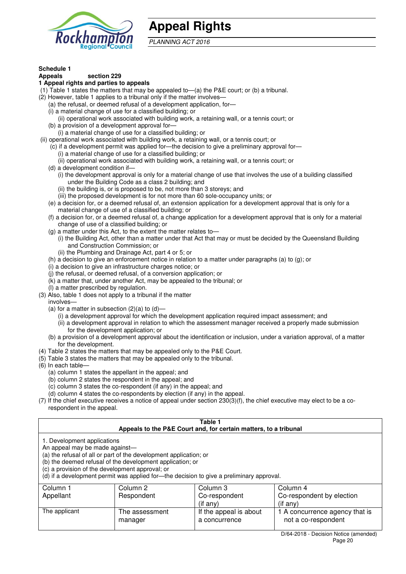

## **Appeal Rights**

PLANNING ACT 2016

#### **Schedule 1**

#### **Appeals section 229**

#### **1 Appeal rights and parties to appeals**

- (1) Table 1 states the matters that may be appealed to—(a) the P&E court; or (b) a tribunal.
- (2) However, table 1 applies to a tribunal only if the matter involves—
	- (a) the refusal, or deemed refusal of a development application, for—
	- (i) a material change of use for a classified building; or
	- (ii) operational work associated with building work, a retaining wall, or a tennis court; or
	- (b) a provision of a development approval for—
	- (i) a material change of use for a classified building; or
- (ii) operational work associated with building work, a retaining wall, or a tennis court; or
	- (c) if a development permit was applied for—the decision to give a preliminary approval for— (i) a material change of use for a classified building; or
		- (ii) operational work associated with building work, a retaining wall, or a tennis court; or
	- (d) a development condition if—
		- (i) the development approval is only for a material change of use that involves the use of a building classified under the Building Code as a class 2 building; and
			- (ii) the building is, or is proposed to be, not more than 3 storeys; and
			- (iii) the proposed development is for not more than 60 sole-occupancy units; or
	- (e) a decision for, or a deemed refusal of, an extension application for a development approval that is only for a material change of use of a classified building; or
	- (f) a decision for, or a deemed refusal of, a change application for a development approval that is only for a material change of use of a classified building; or
	- (g) a matter under this Act, to the extent the matter relates to—
		- (i) the Building Act, other than a matter under that Act that may or must be decided by the Queensland Building and Construction Commission; or
		- (ii) the Plumbing and Drainage Act, part 4 or 5; or
	- (h) a decision to give an enforcement notice in relation to a matter under paragraphs (a) to (g); or
	- (i) a decision to give an infrastructure charges notice; or
	- (j) the refusal, or deemed refusal, of a conversion application; or
	- $(k)$  a matter that, under another Act, may be appealed to the tribunal; or
	- (l) a matter prescribed by regulation.
- (3) Also, table 1 does not apply to a tribunal if the matter involves—
	- (a) for a matter in subsection  $(2)(a)$  to  $(d)$ 
		- (i) a development approval for which the development application required impact assessment; and
		- (ii) a development approval in relation to which the assessment manager received a properly made submission for the development application; or
	- (b) a provision of a development approval about the identification or inclusion, under a variation approval, of a matter for the development.
- (4) Table 2 states the matters that may be appealed only to the P&E Court.
- (5) Table 3 states the matters that may be appealed only to the tribunal.
- (6) In each table—
	- (a) column 1 states the appellant in the appeal; and
	- (b) column 2 states the respondent in the appeal; and
	- (c) column 3 states the co-respondent (if any) in the appeal; and
	- (d) column 4 states the co-respondents by election (if any) in the appeal.
- (7) If the chief executive receives a notice of appeal under section 230(3)(f), the chief executive may elect to be a corespondent in the appeal.

| Table 1<br>Appeals to the P&E Court and, for certain matters, to a tribunal                                                                                                                                                                                                                                                                    |                           |                                         |                                                       |  |  |
|------------------------------------------------------------------------------------------------------------------------------------------------------------------------------------------------------------------------------------------------------------------------------------------------------------------------------------------------|---------------------------|-----------------------------------------|-------------------------------------------------------|--|--|
| 1. Development applications<br>An appeal may be made against-<br>(a) the refusal of all or part of the development application; or<br>(b) the deemed refusal of the development application; or<br>(c) a provision of the development approval; or<br>(d) if a development permit was applied for—the decision to give a preliminary approval. |                           |                                         |                                                       |  |  |
| Column 1                                                                                                                                                                                                                                                                                                                                       | Column 2                  | Column 3                                | Column 4                                              |  |  |
| Respondent<br>Appellant<br>Co-respondent<br>Co-respondent by election<br>$($ if any $)$<br>$(i$ f any)                                                                                                                                                                                                                                         |                           |                                         |                                                       |  |  |
| The applicant                                                                                                                                                                                                                                                                                                                                  | The assessment<br>manager | If the appeal is about<br>a concurrence | 1 A concurrence agency that is<br>not a co-respondent |  |  |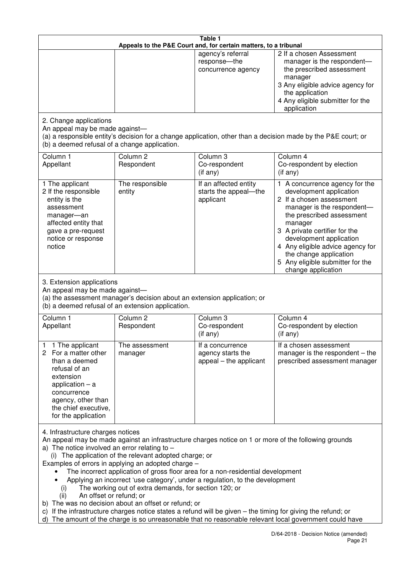| Table 1<br>Appeals to the P&E Court and, for certain matters, to a tribunal                                                                                                                             |                                                                                                                                                                                                                               |                                                                                                                                                                                                                                                                                                                                                                                         |                                                                                                                                                                                                                                                                                                                                                 |
|---------------------------------------------------------------------------------------------------------------------------------------------------------------------------------------------------------|-------------------------------------------------------------------------------------------------------------------------------------------------------------------------------------------------------------------------------|-----------------------------------------------------------------------------------------------------------------------------------------------------------------------------------------------------------------------------------------------------------------------------------------------------------------------------------------------------------------------------------------|-------------------------------------------------------------------------------------------------------------------------------------------------------------------------------------------------------------------------------------------------------------------------------------------------------------------------------------------------|
|                                                                                                                                                                                                         |                                                                                                                                                                                                                               | agency's referral<br>response-the<br>concurrence agency                                                                                                                                                                                                                                                                                                                                 | 2 If a chosen Assessment<br>manager is the respondent-<br>the prescribed assessment<br>manager<br>3 Any eligible advice agency for<br>the application<br>4 Any eligible submitter for the<br>application                                                                                                                                        |
| 2. Change applications<br>An appeal may be made against-<br>(b) a deemed refusal of a change application.                                                                                               |                                                                                                                                                                                                                               |                                                                                                                                                                                                                                                                                                                                                                                         | (a) a responsible entity's decision for a change application, other than a decision made by the P&E court; or                                                                                                                                                                                                                                   |
| Column 1<br>Appellant                                                                                                                                                                                   | Column <sub>2</sub><br>Respondent                                                                                                                                                                                             | Column <sub>3</sub><br>Co-respondent<br>(if any)                                                                                                                                                                                                                                                                                                                                        | Column 4<br>Co-respondent by election<br>(if any)                                                                                                                                                                                                                                                                                               |
| 1 The applicant<br>2 If the responsible<br>entity is the<br>assessment<br>manager-an<br>affected entity that<br>gave a pre-request<br>notice or response<br>notice                                      | The responsible<br>entity                                                                                                                                                                                                     | If an affected entity<br>starts the appeal-the<br>applicant                                                                                                                                                                                                                                                                                                                             | 1 A concurrence agency for the<br>development application<br>2 If a chosen assessment<br>manager is the respondent-<br>the prescribed assessment<br>manager<br>3 A private certifier for the<br>development application<br>4 Any eligible advice agency for<br>the change application<br>5 Any eligible submitter for the<br>change application |
| 3. Extension applications<br>An appeal may be made against-                                                                                                                                             | (a) the assessment manager's decision about an extension application; or<br>(b) a deemed refusal of an extension application.                                                                                                 |                                                                                                                                                                                                                                                                                                                                                                                         |                                                                                                                                                                                                                                                                                                                                                 |
| Column 1<br>Appellant                                                                                                                                                                                   | Column <sub>2</sub><br>Respondent                                                                                                                                                                                             | Column 3<br>Co-respondent<br>(if any)                                                                                                                                                                                                                                                                                                                                                   | Column 4<br>Co-respondent by election<br>(if any)                                                                                                                                                                                                                                                                                               |
| 1 The applicant<br>1<br>For a matter other<br>2<br>than a deemed<br>refusal of an<br>extension<br>application $-$ a<br>concurrence<br>agency, other than<br>the chief executive,<br>for the application | The assessment<br>manager                                                                                                                                                                                                     | It a concurrence<br>agency starts the<br>appeal - the applicant                                                                                                                                                                                                                                                                                                                         | If a chosen assessment<br>manager is the respondent $-$ the<br>prescribed assessment manager                                                                                                                                                                                                                                                    |
| 4. Infrastructure charges notices<br>a) The notice involved an error relating to $-$<br>(i)<br>An offset or refund; or<br>(ii)                                                                          | (i) The application of the relevant adopted charge; or<br>Examples of errors in applying an adopted charge -<br>The working out of extra demands, for section 120; or<br>b) The was no decision about an offset or refund; or | An appeal may be made against an infrastructure charges notice on 1 or more of the following grounds<br>The incorrect application of gross floor area for a non-residential development<br>Applying an incorrect 'use category', under a regulation, to the development<br>c) If the infrastructure charges notice states a refund will be given – the timing for giving the refund; or | d) The amount of the charge is so unreasonable that no reasonable relevant local government could have                                                                                                                                                                                                                                          |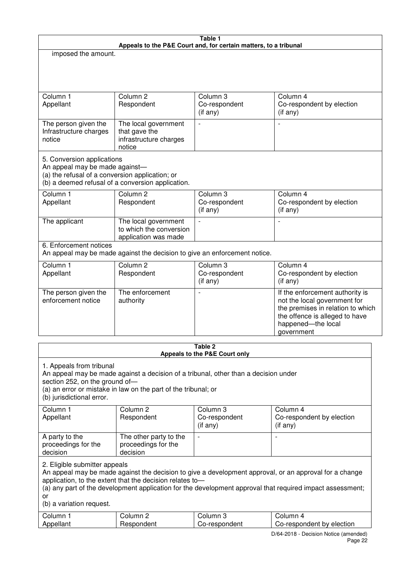|                                                                                                                 |                                                                                                                                                       | Table 1<br>Appeals to the P&E Court and, for certain matters, to a tribunal |                                                                                                                                                                                                                     |
|-----------------------------------------------------------------------------------------------------------------|-------------------------------------------------------------------------------------------------------------------------------------------------------|-----------------------------------------------------------------------------|---------------------------------------------------------------------------------------------------------------------------------------------------------------------------------------------------------------------|
| imposed the amount.                                                                                             |                                                                                                                                                       |                                                                             |                                                                                                                                                                                                                     |
|                                                                                                                 |                                                                                                                                                       |                                                                             |                                                                                                                                                                                                                     |
|                                                                                                                 |                                                                                                                                                       |                                                                             |                                                                                                                                                                                                                     |
| Column 1<br>Appellant                                                                                           | Column <sub>2</sub><br>Respondent                                                                                                                     | Column 3<br>Co-respondent<br>(if any)                                       | Column 4<br>Co-respondent by election<br>(if any)                                                                                                                                                                   |
| The person given the<br>Infrastructure charges<br>notice                                                        | The local government<br>that gave the<br>infrastructure charges<br>notice                                                                             | $\overline{a}$                                                              | L,                                                                                                                                                                                                                  |
| 5. Conversion applications<br>An appeal may be made against-<br>(a) the refusal of a conversion application; or | (b) a deemed refusal of a conversion application.                                                                                                     |                                                                             |                                                                                                                                                                                                                     |
| Column <sub>1</sub><br>Appellant                                                                                | Column <sub>2</sub><br>Respondent                                                                                                                     | Column <sub>3</sub><br>Co-respondent<br>(if any)                            | Column 4<br>Co-respondent by election<br>(if any)                                                                                                                                                                   |
| The applicant                                                                                                   | The local government<br>to which the conversion<br>application was made                                                                               | $\overline{a}$                                                              | L,                                                                                                                                                                                                                  |
| 6. Enforcement notices                                                                                          | An appeal may be made against the decision to give an enforcement notice.                                                                             |                                                                             |                                                                                                                                                                                                                     |
| Column 1<br>Appellant                                                                                           | Column <sub>2</sub><br>Respondent                                                                                                                     | Column 3<br>Co-respondent<br>(if any)                                       | Column 4<br>Co-respondent by election<br>(if any)                                                                                                                                                                   |
| The person given the<br>enforcement notice                                                                      | The enforcement<br>authority                                                                                                                          |                                                                             | If the enforcement authority is<br>not the local government for<br>the premises in relation to which<br>the offence is alleged to have<br>happened-the local<br>government                                          |
|                                                                                                                 |                                                                                                                                                       | Table 2                                                                     |                                                                                                                                                                                                                     |
|                                                                                                                 |                                                                                                                                                       | Appeals to the P&E Court only                                               |                                                                                                                                                                                                                     |
| 1. Appeals from tribunal<br>section 252, on the ground of-<br>(b) jurisdictional error.                         | An appeal may be made against a decision of a tribunal, other than a decision under<br>(a) an error or mistake in law on the part of the tribunal; or |                                                                             |                                                                                                                                                                                                                     |
| Column 1<br>Appellant                                                                                           | Column <sub>2</sub><br>Respondent                                                                                                                     | Column 3<br>Co-respondent<br>$($ if any $)$                                 | Column 4<br>Co-respondent by election<br>$($ if any $)$                                                                                                                                                             |
| A party to the<br>proceedings for the<br>decision                                                               | The other party to the<br>proceedings for the<br>decision                                                                                             | $\overline{\phantom{a}}$                                                    |                                                                                                                                                                                                                     |
| 2. Eligible submitter appeals<br>or<br>(b) a variation request.                                                 | application, to the extent that the decision relates to-                                                                                              |                                                                             | An appeal may be made against the decision to give a development approval, or an approval for a change<br>(a) any part of the development application for the development approval that required impact assessment; |
| Column 1<br>Appellant                                                                                           | Column 2<br>Respondent                                                                                                                                | Column 3<br>Co-respondent                                                   | Column 4<br>Co-respondent by election                                                                                                                                                                               |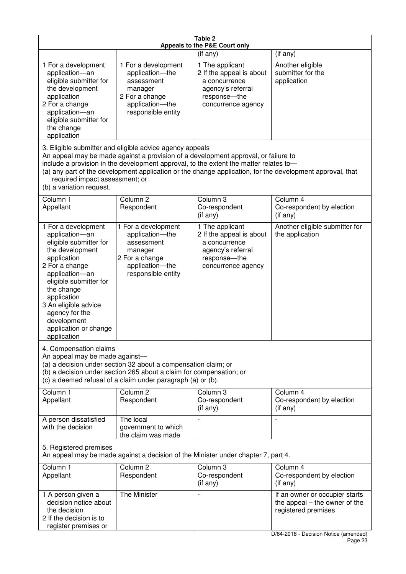| Table 2<br>Appeals to the P&E Court only                                                                                                                                                                                                                                                      |                                                                                                                                                                                                                                                                  |                                                                                                                          |                                                                                                                                   |  |  |  |
|-----------------------------------------------------------------------------------------------------------------------------------------------------------------------------------------------------------------------------------------------------------------------------------------------|------------------------------------------------------------------------------------------------------------------------------------------------------------------------------------------------------------------------------------------------------------------|--------------------------------------------------------------------------------------------------------------------------|-----------------------------------------------------------------------------------------------------------------------------------|--|--|--|
|                                                                                                                                                                                                                                                                                               |                                                                                                                                                                                                                                                                  | (if any)                                                                                                                 | (if any)                                                                                                                          |  |  |  |
| 1 For a development<br>application-an<br>eligible submitter for<br>the development<br>application<br>2 For a change<br>application-an<br>eligible submitter for<br>the change<br>application                                                                                                  | 1 For a development<br>application-the<br>assessment<br>manager<br>2 For a change<br>application-the<br>responsible entity                                                                                                                                       | 1 The applicant<br>2 If the appeal is about<br>a concurrence<br>agency's referral<br>response-the<br>concurrence agency  | Another eligible<br>submitter for the<br>application                                                                              |  |  |  |
| required impact assessment; or<br>(b) a variation request.                                                                                                                                                                                                                                    | 3. Eligible submitter and eligible advice agency appeals<br>An appeal may be made against a provision of a development approval, or failure to<br>include a provision in the development approval, to the extent the matter relates to-                          |                                                                                                                          | (a) any part of the development application or the change application, for the development approval, that                         |  |  |  |
| Column 1<br>Appellant                                                                                                                                                                                                                                                                         | Column <sub>2</sub><br>Respondent                                                                                                                                                                                                                                | Column 3<br>Co-respondent<br>(if any)                                                                                    | Column 4<br>Co-respondent by election<br>(if any)                                                                                 |  |  |  |
| 1 For a development<br>application-an<br>eligible submitter for<br>the development<br>application<br>2 For a change<br>application-an<br>eligible submitter for<br>the change<br>application<br>3 An eligible advice<br>agency for the<br>development<br>application or change<br>application | 1 For a development<br>application-the<br>assessment<br>manager<br>2 For a change<br>application-the<br>responsible entity                                                                                                                                       | 1 The applicant<br>2 If the appeal is about<br>a concurrence<br>agency's referral<br>response--the<br>concurrence agency | Another eligible submitter for<br>the application                                                                                 |  |  |  |
|                                                                                                                                                                                                                                                                                               | 4. Compensation claims<br>An appeal may be made against-<br>(a) a decision under section 32 about a compensation claim; or<br>(b) a decision under section 265 about a claim for compensation; or<br>(c) a deemed refusal of a claim under paragraph (a) or (b). |                                                                                                                          |                                                                                                                                   |  |  |  |
| Column 1<br>Appellant                                                                                                                                                                                                                                                                         | Column <sub>2</sub><br>Respondent                                                                                                                                                                                                                                | Column 3<br>Co-respondent<br>(if any)                                                                                    | Column 4<br>Co-respondent by election<br>(if any)                                                                                 |  |  |  |
| A person dissatisfied<br>with the decision                                                                                                                                                                                                                                                    | The local<br>government to which<br>the claim was made                                                                                                                                                                                                           |                                                                                                                          |                                                                                                                                   |  |  |  |
| 5. Registered premises                                                                                                                                                                                                                                                                        | An appeal may be made against a decision of the Minister under chapter 7, part 4.                                                                                                                                                                                |                                                                                                                          |                                                                                                                                   |  |  |  |
| Column 1<br>Appellant                                                                                                                                                                                                                                                                         | Column <sub>2</sub><br>Respondent                                                                                                                                                                                                                                | Column 3<br>Co-respondent<br>(if any)                                                                                    | Column 4<br>Co-respondent by election<br>(if any)                                                                                 |  |  |  |
| 1 A person given a<br>decision notice about<br>the decision<br>2 If the decision is to<br>register premises or                                                                                                                                                                                | The Minister                                                                                                                                                                                                                                                     |                                                                                                                          | If an owner or occupier starts<br>the appeal $-$ the owner of the<br>registered premises<br>D/64-2018 - Decision Notice (amended) |  |  |  |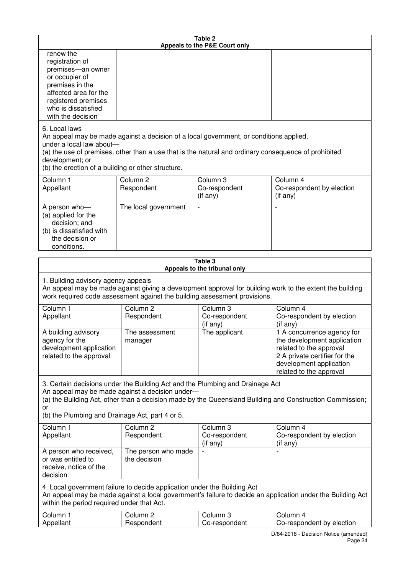| Table 2<br>Appeals to the P&E Court only                                                                                                                                           |                                     |                                                                                                                                                                                                |                                                                                                                                                                             |  |
|------------------------------------------------------------------------------------------------------------------------------------------------------------------------------------|-------------------------------------|------------------------------------------------------------------------------------------------------------------------------------------------------------------------------------------------|-----------------------------------------------------------------------------------------------------------------------------------------------------------------------------|--|
| renew the<br>registration of<br>premises-an owner<br>or occupier of<br>premises in the<br>affected area for the<br>registered premises<br>who is dissatisfied<br>with the decision |                                     |                                                                                                                                                                                                |                                                                                                                                                                             |  |
| 6. Local laws<br>under a local law about-<br>development; or<br>(b) the erection of a building or other structure.                                                                 |                                     | An appeal may be made against a decision of a local government, or conditions applied,<br>(a) the use of premises, other than a use that is the natural and ordinary consequence of prohibited |                                                                                                                                                                             |  |
| Column 1<br>Appellant                                                                                                                                                              | Column <sub>2</sub><br>Respondent   | Column 3<br>Co-respondent<br>(if any)                                                                                                                                                          | Column 4<br>Co-respondent by election<br>(i f any)                                                                                                                          |  |
| A person who-<br>(a) applied for the<br>decision; and<br>(b) is dissatisfied with<br>the decision or<br>conditions.                                                                | The local government                |                                                                                                                                                                                                |                                                                                                                                                                             |  |
|                                                                                                                                                                                    |                                     | Table 3<br>Appeals to the tribunal only                                                                                                                                                        |                                                                                                                                                                             |  |
| 1. Building advisory agency appeals                                                                                                                                                |                                     | work required code assessment against the building assessment provisions.                                                                                                                      | An appeal may be made against giving a development approval for building work to the extent the building                                                                    |  |
| Column 1<br>Appellant                                                                                                                                                              | Column <sub>2</sub><br>Respondent   | Column 3<br>Co-respondent<br>(if any)                                                                                                                                                          | Column 4<br>Co-respondent by election<br>(if any)                                                                                                                           |  |
| A building advisory<br>agency for the<br>development application<br>related to the approval                                                                                        | The assessment<br>manager           | The applicant                                                                                                                                                                                  | 1 A concurrence agency for<br>the development application<br>related to the approval<br>2 A private certifier for the<br>development application<br>related to the approval |  |
| An appeal may be made against a decision under-<br>or<br>(b) the Plumbing and Drainage Act, part 4 or 5.                                                                           |                                     | 3. Certain decisions under the Building Act and the Plumbing and Drainage Act                                                                                                                  | (a) the Building Act, other than a decision made by the Queensland Building and Construction Commission;                                                                    |  |
| Column 1<br>Appellant                                                                                                                                                              | Column <sub>2</sub><br>Respondent   | Column 3<br>Co-respondent<br>(if any)                                                                                                                                                          | Column 4<br>Co-respondent by election<br>(if any)                                                                                                                           |  |
| A person who received,<br>or was entitled to<br>receive, notice of the<br>decision                                                                                                 | The person who made<br>the decision |                                                                                                                                                                                                |                                                                                                                                                                             |  |
| 4. Local government failure to decide application under the Building Act<br>within the period required under that Act.                                                             |                                     |                                                                                                                                                                                                | An appeal may be made against a local government's failure to decide an application under the Building Act                                                                  |  |
| Column 1<br>Appellant                                                                                                                                                              | Column <sub>2</sub><br>Respondent   | Column 3<br>Co-respondent                                                                                                                                                                      | Column 4<br>Co-respondent by election                                                                                                                                       |  |